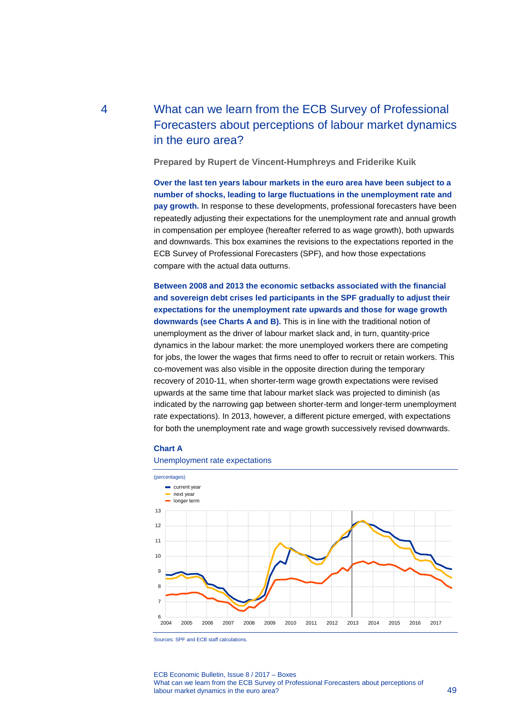# 4 What can we learn from the ECB Survey of Professional Forecasters about perceptions of labour market dynamics in the euro area?

**Prepared by Rupert de Vincent-Humphreys and Friderike Kuik**

**Over the last ten years labour markets in the euro area have been subject to a number of shocks, leading to large fluctuations in the unemployment rate and pay growth.** In response to these developments, professional forecasters have been repeatedly adjusting their expectations for the unemployment rate and annual growth in compensation per employee (hereafter referred to as wage growth), both upwards and downwards. This box examines the revisions to the expectations reported in the ECB Survey of Professional Forecasters (SPF), and how those expectations compare with the actual data outturns.

**Between 2008 and 2013 the economic setbacks associated with the financial and sovereign debt crises led participants in the SPF gradually to adjust their expectations for the unemployment rate upwards and those for wage growth downwards (see Charts A and B).** This is in line with the traditional notion of unemployment as the driver of labour market slack and, in turn, quantity-price dynamics in the labour market: the more unemployed workers there are competing for jobs, the lower the wages that firms need to offer to recruit or retain workers. This co-movement was also visible in the opposite direction during the temporary recovery of 2010-11, when shorter-term wage growth expectations were revised upwards at the same time that labour market slack was projected to diminish (as indicated by the narrowing gap between shorter-term and longer-term unemployment rate expectations). In 2013, however, a different picture emerged, with expectations for both the unemployment rate and wage growth successively revised downwards.

## **Chart A**

#### Unemployment rate expectations



Sources: SPF and ECB staff calculations.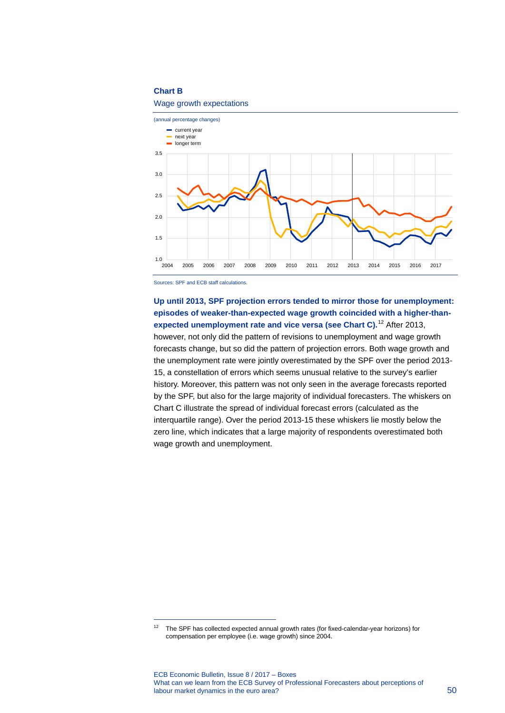## **Chart B**

#### Wage growth expectations



Sources: SPF and ECB staff calculations.

-

**Up until 2013, SPF projection errors tended to mirror those for unemployment: episodes of weaker-than-expected wage growth coincided with a higher-thanexpected unemployment rate and vice versa (see Chart C).**[12](#page-1-0) After 2013, however, not only did the pattern of revisions to unemployment and wage growth forecasts change, but so did the pattern of projection errors. Both wage growth and the unemployment rate were jointly overestimated by the SPF over the period 2013- 15, a constellation of errors which seems unusual relative to the survey's earlier history. Moreover, this pattern was not only seen in the average forecasts reported by the SPF, but also for the large majority of individual forecasters. The whiskers on Chart C illustrate the spread of individual forecast errors (calculated as the interquartile range). Over the period 2013-15 these whiskers lie mostly below the zero line, which indicates that a large majority of respondents overestimated both wage growth and unemployment.

<span id="page-1-0"></span><sup>&</sup>lt;sup>12</sup> The SPF has collected expected annual growth rates (for fixed-calendar-year horizons) for compensation per employee (i.e. wage growth) since 2004.